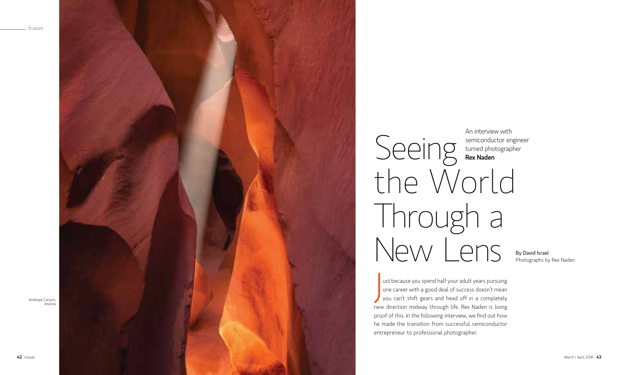# Seeing

Photographs by Rex Naden





J ust because you spend half your adult years pursuing one career with a good deal of success doesn't mean you can't shift gears and head off in a completely new direction midway through life. Rex Naden is living proof of this. In the following interview, we find out how he made the transition from successful semiconductor entrepreneur to professional photographer.

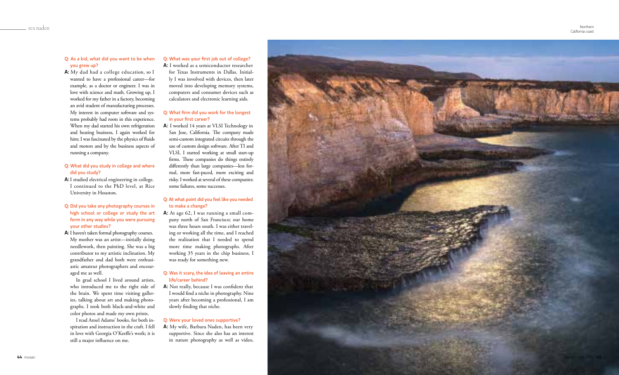### Q: As a kid, what did you want to be when you grew up?

A: My dad had a college education, so I wanted to have a professional career—for example, as a doctor or engineer. I was in love with science and math. Growing up, I worked for my father in a factory, becoming an avid student of manufacturing processes. My interest in computer software and sys tems probably had roots in this experience. When my dad started his own refrigeration and heating business, I again worked for him; I was fascinated by the physics of fluids and motors and by the business aspects of running a company.

# Q: What did you study in college and where did you study?

- A: I studied electrical engineering in college. I continued to the PhD level, at Rice University in Houston.
- Q: Did you take any photography courses in high school or college or study the art form in any way while you were pursuing your other studies?
- A: I haven't taken formal photography courses. My mother was an artist—initially doing needlework, then painting. She was a big contributor to my artistic inclination. My grandfather and dad both were enthusi astic amateur photographers and encour aged me as well.

In grad school I lived around artists, who introduced me to the right side of the brain. We spent time visiting galler ies, talking about art and making photo graphs. I took both black-and-white and color photos and made my own prints.

I read Ansel Adams' books, for both in spiration and instruction in the craft. I fell in love with Georgia O'Keeffe's work; it is still a major influence on me.

# Q: What was your first job out of college?

A: I worked as a semiconductor researcher

for Texas Instruments in Dallas. Initial ly I was involved with devices, then later moved into developing memory systems, computers and consumer devices such as calculators and electronic learning aids.

# Q: What firm did you work for the longest in your first career?

A: I worked 14 years at VLSI Technology in San Jose, California. The company made semi-custom integrated circuits through the use of custom design software. After TI and VLSI, I started working at small start-up firms. These companies do things entirely differently than large companies—less for mal, more fast-paced, more exciting and risky. I worked at several of these companies: some failures, some successes.

# Q: At what point did you feel like you needed to make a change?

A: At age 62, I was running a small company north of San Francisco; our home was three hours south. I was either travel ing or working all the time, and I reached the realization that I needed to spend more time making photographs. After working 35 years in the chip business, I was ready for something new.

### Q: Was it scary, the idea of leaving an entire life/career behind?

A: Not really, because I was confident that I would find a niche in photography. Nine years after becoming a professional, I am slowly finding that niche.

### Q: Were your loved ones supportive?

A: My wife, Barbara Naden, has been very supportive. Since she also has an interest in nature photography as well as video,

Northern California coast